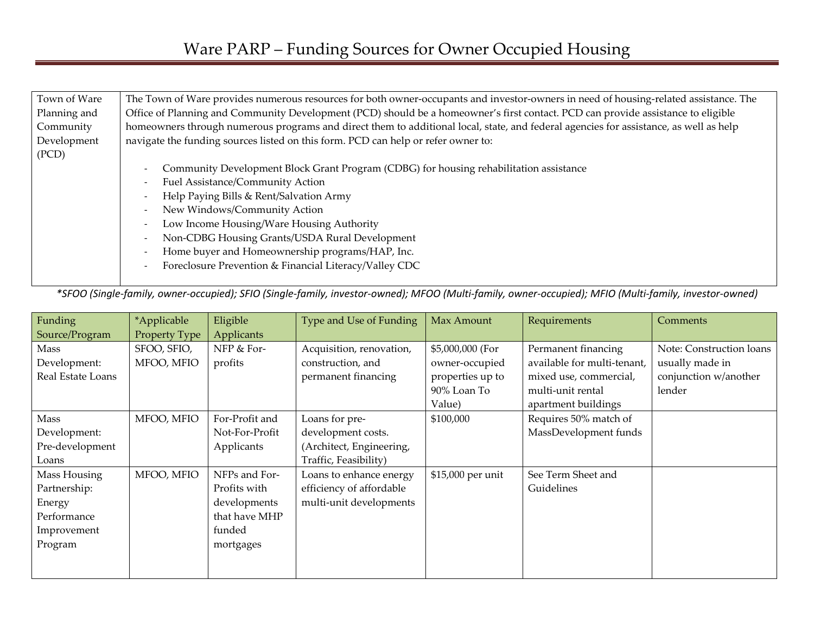| Town of Ware | The Town of Ware provides numerous resources for both owner-occupants and investor-owners in need of housing-related assistance. The  |  |  |  |  |  |  |
|--------------|---------------------------------------------------------------------------------------------------------------------------------------|--|--|--|--|--|--|
| Planning and | Office of Planning and Community Development (PCD) should be a homeowner's first contact. PCD can provide assistance to eligible      |  |  |  |  |  |  |
| Community    | homeowners through numerous programs and direct them to additional local, state, and federal agencies for assistance, as well as help |  |  |  |  |  |  |
| Development  | navigate the funding sources listed on this form. PCD can help or refer owner to:                                                     |  |  |  |  |  |  |
| (PCD)        |                                                                                                                                       |  |  |  |  |  |  |
|              | Community Development Block Grant Program (CDBG) for housing rehabilitation assistance                                                |  |  |  |  |  |  |
|              | Fuel Assistance/Community Action                                                                                                      |  |  |  |  |  |  |
|              | Help Paying Bills & Rent/Salvation Army                                                                                               |  |  |  |  |  |  |
|              | New Windows/Community Action                                                                                                          |  |  |  |  |  |  |
|              | Low Income Housing/Ware Housing Authority                                                                                             |  |  |  |  |  |  |
|              | Non-CDBG Housing Grants/USDA Rural Development<br>$\overline{\phantom{a}}$                                                            |  |  |  |  |  |  |
|              | Home buyer and Homeownership programs/HAP, Inc.                                                                                       |  |  |  |  |  |  |
|              | Foreclosure Prevention & Financial Literacy/Valley CDC                                                                                |  |  |  |  |  |  |
|              |                                                                                                                                       |  |  |  |  |  |  |

*\*SFOO (Single-family, owner-occupied); SFIO (Single-family, investor-owned); MFOO (Multi-family, owner-occupied); MFIO (Multi-family, investor-owned)* 

| Funding           | *Applicable   | Eligible       | Type and Use of Funding  | Max Amount        | Requirements                | <b>Comments</b>          |
|-------------------|---------------|----------------|--------------------------|-------------------|-----------------------------|--------------------------|
| Source/Program    | Property Type | Applicants     |                          |                   |                             |                          |
| Mass              | SFOO, SFIO,   | NFP & For-     | Acquisition, renovation, | \$5,000,000 (For  | Permanent financing         | Note: Construction loans |
| Development:      | MFOO, MFIO    | profits        | construction, and        | owner-occupied    | available for multi-tenant, | usually made in          |
| Real Estate Loans |               |                | permanent financing      | properties up to  | mixed use, commercial,      | conjunction w/another    |
|                   |               |                |                          | 90% Loan To       | multi-unit rental           | lender                   |
|                   |               |                |                          | Value)            | apartment buildings         |                          |
| Mass              | MFOO, MFIO    | For-Profit and | Loans for pre-           | \$100,000         | Requires 50% match of       |                          |
| Development:      |               | Not-For-Profit | development costs.       |                   | MassDevelopment funds       |                          |
| Pre-development   |               | Applicants     | (Architect, Engineering, |                   |                             |                          |
| Loans             |               |                | Traffic, Feasibility)    |                   |                             |                          |
| Mass Housing      | MFOO, MFIO    | NFPs and For-  | Loans to enhance energy  | \$15,000 per unit | See Term Sheet and          |                          |
| Partnership:      |               | Profits with   | efficiency of affordable |                   | Guidelines                  |                          |
| Energy            |               | developments   | multi-unit developments  |                   |                             |                          |
| Performance       |               | that have MHP  |                          |                   |                             |                          |
| Improvement       |               | funded         |                          |                   |                             |                          |
| Program           |               | mortgages      |                          |                   |                             |                          |
|                   |               |                |                          |                   |                             |                          |
|                   |               |                |                          |                   |                             |                          |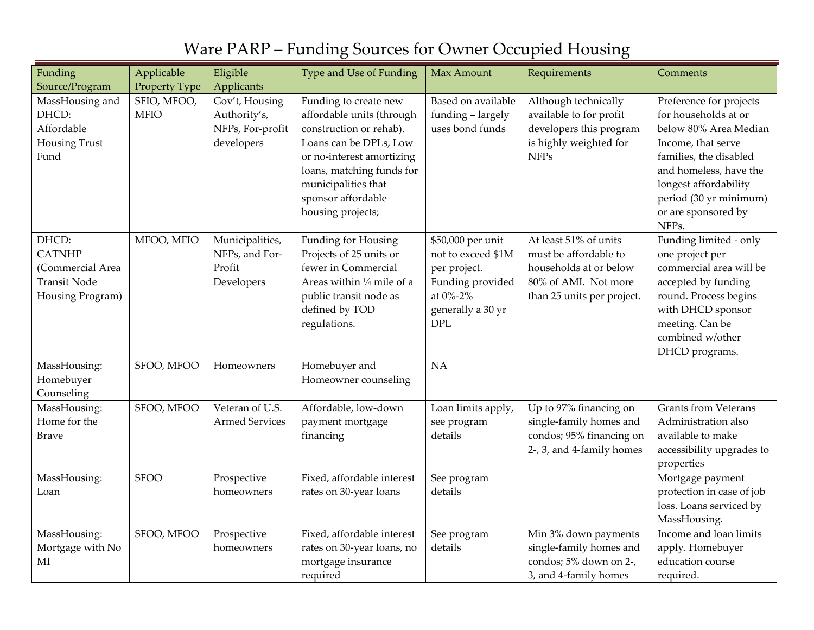| Funding             | Applicable    | Eligible              | Type and Use of Funding    | Max Amount         | Requirements                                      | Comments                    |
|---------------------|---------------|-----------------------|----------------------------|--------------------|---------------------------------------------------|-----------------------------|
| Source/Program      | Property Type | Applicants            |                            |                    |                                                   |                             |
| MassHousing and     | SFIO, MFOO,   | Gov't, Housing        | Funding to create new      | Based on available | Although technically                              | Preference for projects     |
| DHCD:               | <b>MFIO</b>   | Authority's,          | affordable units (through  | funding - largely  | available to for profit                           | for households at or        |
| Affordable          |               | NFPs, For-profit      | construction or rehab).    | uses bond funds    | developers this program                           | below 80% Area Median       |
| Housing Trust       |               | developers            | Loans can be DPLs, Low     |                    | is highly weighted for                            | Income, that serve          |
| Fund                |               |                       | or no-interest amortizing  |                    | <b>NFPs</b>                                       | families, the disabled      |
|                     |               |                       | loans, matching funds for  |                    |                                                   | and homeless, have the      |
|                     |               |                       | municipalities that        |                    |                                                   | longest affordability       |
|                     |               |                       | sponsor affordable         |                    |                                                   | period (30 yr minimum)      |
|                     |               |                       | housing projects;          |                    |                                                   | or are sponsored by         |
|                     |               |                       |                            |                    |                                                   | NFPs.                       |
| DHCD:               | MFOO, MFIO    | Municipalities,       | Funding for Housing        | \$50,000 per unit  | At least 51% of units                             | Funding limited - only      |
| <b>CATNHP</b>       |               | NFPs, and For-        | Projects of 25 units or    | not to exceed \$1M | must be affordable to                             | one project per             |
| (Commercial Area    |               | Profit                | fewer in Commercial        | per project.       | households at or below                            | commercial area will be     |
| <b>Transit Node</b> |               | Developers            | Areas within 1/4 mile of a | Funding provided   | 80% of AMI. Not more                              | accepted by funding         |
| Housing Program)    |               |                       | public transit node as     | at 0%-2%           | than 25 units per project.                        | round. Process begins       |
|                     |               |                       | defined by TOD             | generally a 30 yr  |                                                   | with DHCD sponsor           |
|                     |               |                       | regulations.               | DPL                |                                                   | meeting. Can be             |
|                     |               |                       |                            |                    |                                                   | combined w/other            |
| MassHousing:        | SFOO, MFOO    | Homeowners            | Homebuyer and              | NA                 |                                                   | DHCD programs.              |
| Homebuyer           |               |                       | Homeowner counseling       |                    |                                                   |                             |
| Counseling          |               |                       |                            |                    |                                                   |                             |
| MassHousing:        | SFOO, MFOO    | Veteran of U.S.       | Affordable, low-down       | Loan limits apply, |                                                   | <b>Grants from Veterans</b> |
| Home for the        |               | <b>Armed Services</b> | payment mortgage           | see program        | Up to 97% financing on<br>single-family homes and | Administration also         |
| <b>Brave</b>        |               |                       |                            | details            | condos; 95% financing on                          | available to make           |
|                     |               |                       | financing                  |                    | 2-, 3, and 4-family homes                         | accessibility upgrades to   |
|                     |               |                       |                            |                    |                                                   | properties                  |
| MassHousing:        | <b>SFOO</b>   | Prospective           | Fixed, affordable interest | See program        |                                                   | Mortgage payment            |
| Loan                |               | homeowners            | rates on 30-year loans     | details            |                                                   | protection in case of job   |
|                     |               |                       |                            |                    |                                                   | loss. Loans serviced by     |
|                     |               |                       |                            |                    |                                                   | MassHousing.                |
| MassHousing:        | SFOO, MFOO    | Prospective           | Fixed, affordable interest | See program        | Min 3% down payments                              | Income and loan limits      |
| Mortgage with No    |               | homeowners            | rates on 30-year loans, no | details            | single-family homes and                           | apply. Homebuyer            |
| MI                  |               |                       | mortgage insurance         |                    | condos; 5% down on 2-,                            | education course            |
|                     |               |                       | required                   |                    | 3, and 4-family homes                             | required.                   |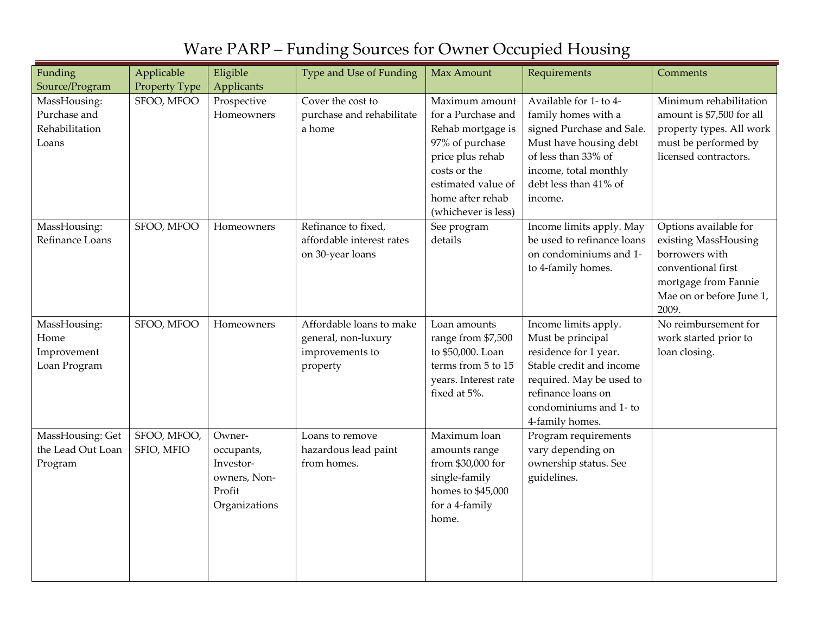| Funding                                                 | Applicable                | Eligible                                                                     | Type and Use of Funding                                                        | Max Amount                                                                                                                                                                        | Requirements                                                                                                                                                                                  | Comments                                                                                                                                           |
|---------------------------------------------------------|---------------------------|------------------------------------------------------------------------------|--------------------------------------------------------------------------------|-----------------------------------------------------------------------------------------------------------------------------------------------------------------------------------|-----------------------------------------------------------------------------------------------------------------------------------------------------------------------------------------------|----------------------------------------------------------------------------------------------------------------------------------------------------|
| Source/Program                                          | Property Type             | Applicants                                                                   |                                                                                |                                                                                                                                                                                   |                                                                                                                                                                                               |                                                                                                                                                    |
| MassHousing:<br>Purchase and<br>Rehabilitation<br>Loans | SFOO, MFOO                | Prospective<br>Homeowners                                                    | Cover the cost to<br>purchase and rehabilitate<br>a home                       | Maximum amount<br>for a Purchase and<br>Rehab mortgage is<br>97% of purchase<br>price plus rehab<br>costs or the<br>estimated value of<br>home after rehab<br>(whichever is less) | Available for 1- to 4-<br>family homes with a<br>signed Purchase and Sale.<br>Must have housing debt<br>of less than 33% of<br>income, total monthly<br>debt less than 41% of<br>income.      | Minimum rehabilitation<br>amount is \$7,500 for all<br>property types. All work<br>must be performed by<br>licensed contractors.                   |
| MassHousing:<br>Refinance Loans                         | SFOO, MFOO                | Homeowners                                                                   | Refinance to fixed,<br>affordable interest rates<br>on 30-year loans           | See program<br>details                                                                                                                                                            | Income limits apply. May<br>be used to refinance loans<br>on condominiums and 1-<br>to 4-family homes.                                                                                        | Options available for<br>existing MassHousing<br>borrowers with<br>conventional first<br>mortgage from Fannie<br>Mae on or before June 1,<br>2009. |
| MassHousing:<br>Home<br>Improvement<br>Loan Program     | SFOO, MFOO                | Homeowners                                                                   | Affordable loans to make<br>general, non-luxury<br>improvements to<br>property | Loan amounts<br>range from \$7,500<br>to \$50,000. Loan<br>terms from 5 to 15<br>years. Interest rate<br>fixed at 5%.                                                             | Income limits apply.<br>Must be principal<br>residence for 1 year.<br>Stable credit and income<br>required. May be used to<br>refinance loans on<br>condominiums and 1- to<br>4-family homes. | No reimbursement for<br>work started prior to<br>loan closing.                                                                                     |
| MassHousing: Get<br>the Lead Out Loan<br>Program        | SFOO, MFOO,<br>SFIO, MFIO | Owner-<br>occupants,<br>Investor-<br>owners, Non-<br>Profit<br>Organizations | Loans to remove<br>hazardous lead paint<br>from homes.                         | Maximum loan<br>amounts range<br>from \$30,000 for<br>single-family<br>homes to \$45,000<br>for a 4-family<br>home.                                                               | Program requirements<br>vary depending on<br>ownership status. See<br>guidelines.                                                                                                             |                                                                                                                                                    |